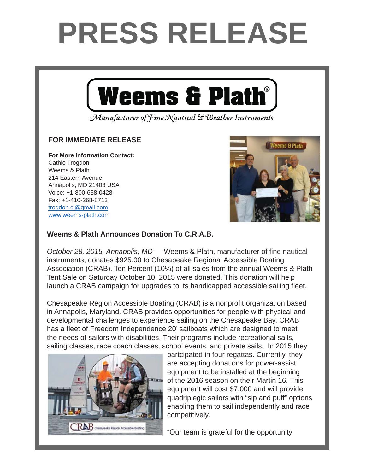## **PRESS RELEASE**



Manufacturer of Fine Nautical & Weather Instruments

## **FOR IMMEDIATE RELEASE FOR IMMEDIATE RELEASE**

**For More Information Contact: For More Information Contact:** Cathie Trogdon Weems & Plath 214 Eastern Avenue Annapolis, MD 21403 USA Voice: +1-800-638-0428 Fax: +1-410-268-8713 <u>trogdon.cj@gmail.com</u> www.weems-plath.com



## **Weems & Plath to be Presenting Sponsor of** *On the Wind* **Weems & Plath Announces Donation To C.R.A.B.**

October 28, 2015, Annapolis, MD — Weems & Plath, manufacturer of fine nautical instruments, donates \$925.00 to Chesapeake Regional Accessible Boating Association (CRAB). Ten Percent (10%) of all sales from the annual Weems & Plath and produced by  $\Omega$   $\Delta t$   $\Delta t$   $\Delta t$   $\Delta t$   $\Delta t$   $\Delta t$   $\Delta t$   $\Delta t$   $\Delta t$   $\Delta t$   $\Delta t$   $\Delta t$   $\Delta t$   $\Delta t$   $\Delta t$   $\Delta t$   $\Delta t$   $\Delta t$   $\Delta t$   $\Delta t$   $\Delta t$   $\Delta t$   $\Delta t$   $\Delta t$   $\Delta t$   $\Delta t$   $\Delta t$   $\Delta t$   $\Delta t$   $\Delta t$   $\Delta t$   $\Delta t$   $\Delta t$   $\$ Tent Sale on Saturday October 10, 2015 were donated. This donation will help launch a CRAB campaign for upgrades to its handicapped accessible sailing fleet.

in Annapolis, Maryland. CRAB provides opportunities for people with physical and  $\mu$  residence tradition  $\mu$  and  $\mu$  and  $\mu$  are excited to  $\mu$  and  $\mu$  are excited to  $\mu$  facilitate the  $\mu$ developmental challenges to experience sailing on the Chesapeake Bay. CRAB the needs of sailors with disabilities. Their programs include recreational sails, sailing classes, race coach classes, school events, and private sails. In 2015 they Chesapeake Region Accessible Boating (CRAB) is a nonprofi t organization based has a fleet of Freedom Independence 20' sailboats which are designed to meet

Andy Schell. "Peter is an early adapter and caught onto to the podcast technology very



**around the partcipated in four regattas. Currently, they** are accepting donations for power-assist Paradex and Documental Street; the late Volvo Ocean Race Volvo Ocean Race Volvo Ocean Race Volvo Ocean Race Volvo Ocean Race Volvo Ocean Race Volvo Ocean Race Volvo Ocean Race Volvo Ocean Race Volvo Ocean Race Volvo Ocean equipment to be installed at the beginning **Freme:** of the 2016 season on their Martin 16. This **Figure 2** equipment will cost \$7,000 and will provide  $\mathcal{H}$  quadriplegic sailors with "sip and puff" options  $\mathbf{u}$  is a release in the Mind in the  $\mathbf{v}$  episodes, which is the independently and race. enabling them to sail independently and race publishes were the subscribed on Tuesdays and is free to line or the subscribe of the subscribe of the subscribe or through  $\sim$ competitively.

"Our team is grateful for the opportunity